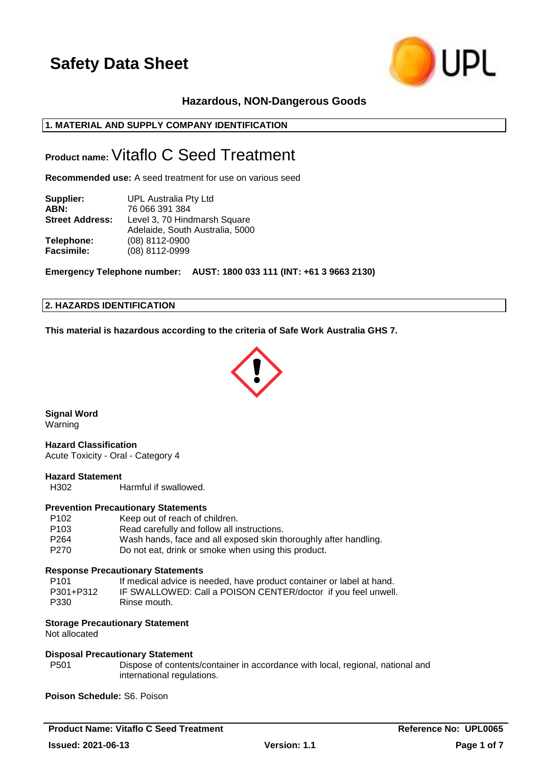

## **Hazardous, NON-Dangerous Goods**

## **1. MATERIAL AND SUPPLY COMPANY IDENTIFICATION**

## **Product name:**Vitaflo C Seed Treatment

**Recommended use:** A seed treatment for use on various seed

| Supplier:              | UPL Australia Pty Ltd           |
|------------------------|---------------------------------|
| ABN:                   | 76 066 391 384                  |
| <b>Street Address:</b> | Level 3, 70 Hindmarsh Square    |
|                        | Adelaide, South Australia, 5000 |
| Telephone:             | (08) 8112-0900                  |
| <b>Facsimile:</b>      | (08) 8112-0999                  |

**Emergency Telephone number: AUST: 1800 033 111 (INT: +61 3 9663 2130)**

## **2. HAZARDS IDENTIFICATION**

**This material is hazardous according to the criteria of Safe Work Australia GHS 7.**



**Signal Word** Warning

**Hazard Classification** Acute Toxicity - Oral - Category 4

## **Hazard Statement**

H302 Harmful if swallowed.

#### **Prevention Precautionary Statements**

| Keep out of reach of children.                                   |
|------------------------------------------------------------------|
| Read carefully and follow all instructions.                      |
| Wash hands, face and all exposed skin thoroughly after handling. |
| Do not eat, drink or smoke when using this product.              |
|                                                                  |

#### **Response Precautionary Statements**

| P101      | If medical advice is needed, have product container or label at hand. |
|-----------|-----------------------------------------------------------------------|
| P301+P312 | IF SWALLOWED: Call a POISON CENTER/doctor if you feel unwell.         |
| P330      | Rinse mouth.                                                          |

## **Storage Precautionary Statement**

Not allocated

#### **Disposal Precautionary Statement**

P501 Dispose of contents/container in accordance with local, regional, national and international regulations.

**Poison Schedule:** S6. Poison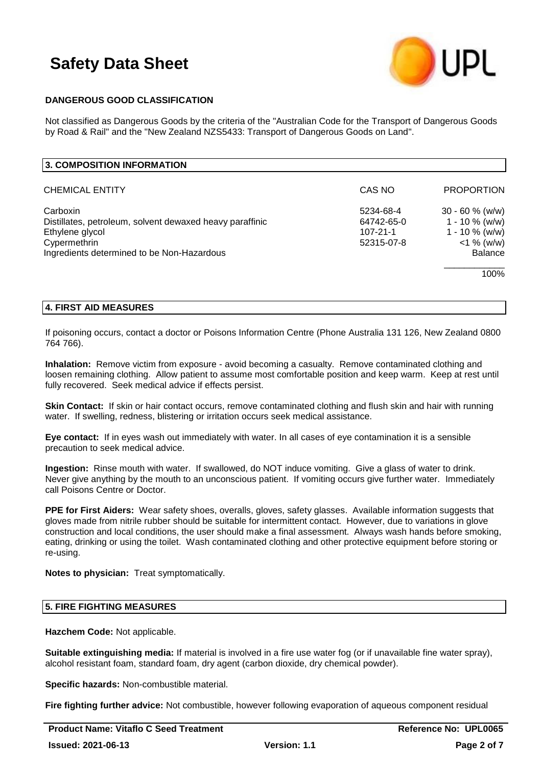

## **DANGEROUS GOOD CLASSIFICATION**

Not classified as Dangerous Goods by the criteria of the "Australian Code for the Transport of Dangerous Goods by Road & Rail" and the "New Zealand NZS5433: Transport of Dangerous Goods on Land".

| 3. COMPOSITION INFORMATION                                                                                                                            |                                                         |                                                                                                |
|-------------------------------------------------------------------------------------------------------------------------------------------------------|---------------------------------------------------------|------------------------------------------------------------------------------------------------|
| <b>CHEMICAL ENTITY</b>                                                                                                                                | CAS NO                                                  | <b>PROPORTION</b>                                                                              |
| Carboxin<br>Distillates, petroleum, solvent dewaxed heavy paraffinic<br>Ethylene glycol<br>Cypermethrin<br>Ingredients determined to be Non-Hazardous | 5234-68-4<br>64742-65-0<br>$107 - 21 - 1$<br>52315-07-8 | $30 - 60 %$ (w/w)<br>1 - 10 $\%$ (w/w)<br>$1 - 10 \%$ (w/w)<br>$<$ 1 % (w/w)<br><b>Balance</b> |
|                                                                                                                                                       |                                                         | 100%                                                                                           |

### **4. FIRST AID MEASURES**

If poisoning occurs, contact a doctor or Poisons Information Centre (Phone Australia 131 126, New Zealand 0800 764 766).

**Inhalation:** Remove victim from exposure - avoid becoming a casualty. Remove contaminated clothing and loosen remaining clothing. Allow patient to assume most comfortable position and keep warm. Keep at rest until fully recovered. Seek medical advice if effects persist.

**Skin Contact:** If skin or hair contact occurs, remove contaminated clothing and flush skin and hair with running water. If swelling, redness, blistering or irritation occurs seek medical assistance.

**Eye contact:** If in eyes wash out immediately with water. In all cases of eye contamination it is a sensible precaution to seek medical advice.

**Ingestion:** Rinse mouth with water. If swallowed, do NOT induce vomiting. Give a glass of water to drink. Never give anything by the mouth to an unconscious patient. If vomiting occurs give further water. Immediately call Poisons Centre or Doctor.

**PPE for First Aiders:** Wear safety shoes, overalls, gloves, safety glasses. Available information suggests that gloves made from nitrile rubber should be suitable for intermittent contact. However, due to variations in glove construction and local conditions, the user should make a final assessment. Always wash hands before smoking, eating, drinking or using the toilet. Wash contaminated clothing and other protective equipment before storing or re-using.

**Notes to physician:** Treat symptomatically.

## **5. FIRE FIGHTING MEASURES**

**Hazchem Code:** Not applicable.

**Suitable extinguishing media:** If material is involved in a fire use water fog (or if unavailable fine water spray), alcohol resistant foam, standard foam, dry agent (carbon dioxide, dry chemical powder).

**Specific hazards:** Non-combustible material.

**Fire fighting further advice:** Not combustible, however following evaporation of aqueous component residual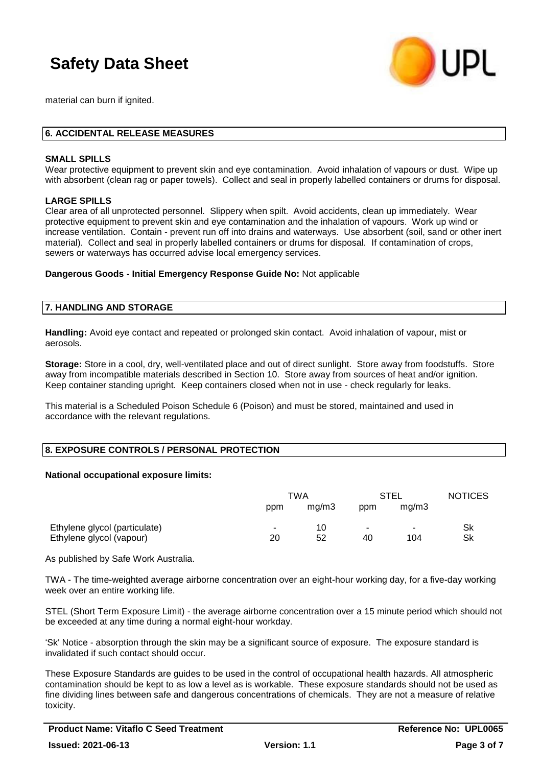

material can burn if ignited.

### **6. ACCIDENTAL RELEASE MEASURES**

#### **SMALL SPILLS**

Wear protective equipment to prevent skin and eye contamination. Avoid inhalation of vapours or dust. Wipe up with absorbent (clean rag or paper towels). Collect and seal in properly labelled containers or drums for disposal.

### **LARGE SPILLS**

Clear area of all unprotected personnel. Slippery when spilt. Avoid accidents, clean up immediately. Wear protective equipment to prevent skin and eye contamination and the inhalation of vapours. Work up wind or increase ventilation. Contain - prevent run off into drains and waterways. Use absorbent (soil, sand or other inert material). Collect and seal in properly labelled containers or drums for disposal. If contamination of crops, sewers or waterways has occurred advise local emergency services.

**Dangerous Goods - Initial Emergency Response Guide No:** Not applicable

### **7. HANDLING AND STORAGE**

**Handling:** Avoid eye contact and repeated or prolonged skin contact. Avoid inhalation of vapour, mist or aerosols.

**Storage:** Store in a cool, dry, well-ventilated place and out of direct sunlight. Store away from foodstuffs. Store away from incompatible materials described in Section 10. Store away from sources of heat and/or ignition. Keep container standing upright. Keep containers closed when not in use - check regularly for leaks.

This material is a Scheduled Poison Schedule 6 (Poison) and must be stored, maintained and used in accordance with the relevant regulations.

#### **8. EXPOSURE CONTROLS / PERSONAL PROTECTION**

#### **National occupational exposure limits:**

|                                                           | TWA          |          | STEL |                                 | <b>NOTICES</b> |
|-----------------------------------------------------------|--------------|----------|------|---------------------------------|----------------|
|                                                           | ppm          | ma/m3    | ppm  | ma/m3                           |                |
| Ethylene glycol (particulate)<br>Ethylene glycol (vapour) | $\sim$<br>20 | 10<br>52 | 40   | $\overline{\phantom{a}}$<br>104 | Sk<br>Sk       |

As published by Safe Work Australia.

TWA - The time-weighted average airborne concentration over an eight-hour working day, for a five-day working week over an entire working life.

STEL (Short Term Exposure Limit) - the average airborne concentration over a 15 minute period which should not be exceeded at any time during a normal eight-hour workday.

'Sk' Notice - absorption through the skin may be a significant source of exposure. The exposure standard is invalidated if such contact should occur.

These Exposure Standards are guides to be used in the control of occupational health hazards. All atmospheric contamination should be kept to as low a level as is workable. These exposure standards should not be used as fine dividing lines between safe and dangerous concentrations of chemicals. They are not a measure of relative toxicity.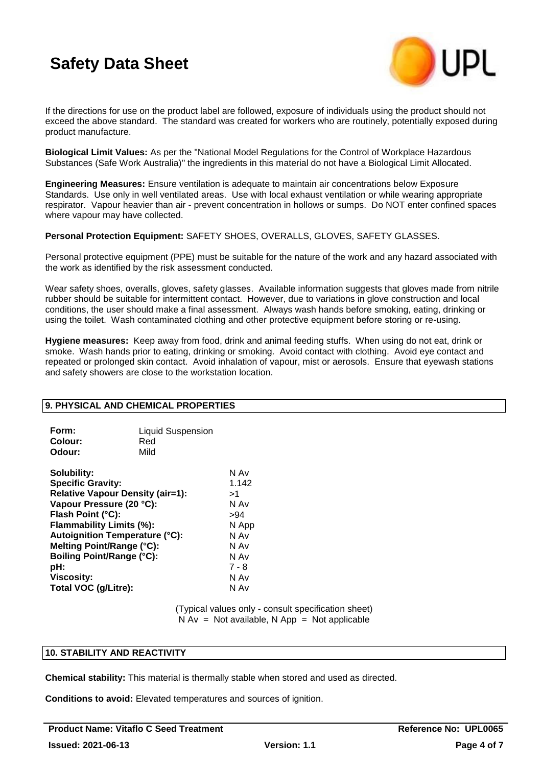

If the directions for use on the product label are followed, exposure of individuals using the product should not exceed the above standard. The standard was created for workers who are routinely, potentially exposed during product manufacture.

**Biological Limit Values:** As per the "National Model Regulations for the Control of Workplace Hazardous Substances (Safe Work Australia)" the ingredients in this material do not have a Biological Limit Allocated.

**Engineering Measures:** Ensure ventilation is adequate to maintain air concentrations below Exposure Standards. Use only in well ventilated areas. Use with local exhaust ventilation or while wearing appropriate respirator. Vapour heavier than air - prevent concentration in hollows or sumps. Do NOT enter confined spaces where vapour may have collected.

**Personal Protection Equipment:** SAFETY SHOES, OVERALLS, GLOVES, SAFETY GLASSES.

Personal protective equipment (PPE) must be suitable for the nature of the work and any hazard associated with the work as identified by the risk assessment conducted.

Wear safety shoes, overalls, gloves, safety glasses. Available information suggests that gloves made from nitrile rubber should be suitable for intermittent contact. However, due to variations in glove construction and local conditions, the user should make a final assessment. Always wash hands before smoking, eating, drinking or using the toilet. Wash contaminated clothing and other protective equipment before storing or re-using.

**Hygiene measures:** Keep away from food, drink and animal feeding stuffs. When using do not eat, drink or smoke. Wash hands prior to eating, drinking or smoking. Avoid contact with clothing. Avoid eye contact and repeated or prolonged skin contact. Avoid inhalation of vapour, mist or aerosols. Ensure that eyewash stations and safety showers are close to the workstation location.

## **9. PHYSICAL AND CHEMICAL PROPERTIES**

| Form:   | <b>Liquid Suspension</b> |
|---------|--------------------------|
| Colour: | Red                      |
| Odour:  | Mild                     |

| Solubility:                             | N Av  |
|-----------------------------------------|-------|
| <b>Specific Gravity:</b>                | 1.142 |
| <b>Relative Vapour Density (air=1):</b> | >1    |
| Vapour Pressure (20 °C):                | N Av  |
| Flash Point (°C):                       | >94   |
| Flammability Limits (%):                | N App |
| <b>Autoignition Temperature (°C):</b>   | N Av  |
| Melting Point/Range (°C):               | N Av  |
| <b>Boiling Point/Range (°C):</b>        | N Av  |
| pH:                                     | 7 - 8 |
| <b>Viscosity:</b>                       | N Av  |
| Total VOC (g/Litre):                    | N Av  |
|                                         |       |

(Typical values only - consult specification sheet)  $N Av = Not available, N App = Not applicable$ 

## **10. STABILITY AND REACTIVITY**

**Chemical stability:** This material is thermally stable when stored and used as directed.

**Conditions to avoid:** Elevated temperatures and sources of ignition.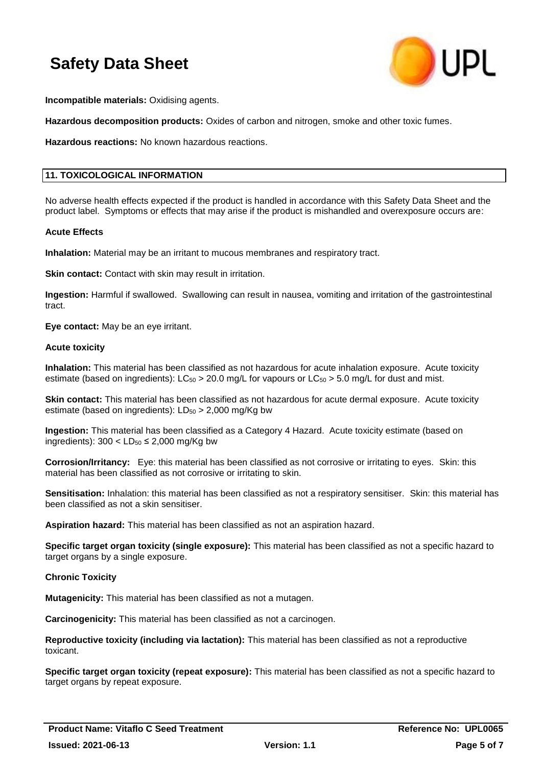

**Incompatible materials:** Oxidising agents.

**Hazardous decomposition products:** Oxides of carbon and nitrogen, smoke and other toxic fumes.

**Hazardous reactions:** No known hazardous reactions.

## **11. TOXICOLOGICAL INFORMATION**

No adverse health effects expected if the product is handled in accordance with this Safety Data Sheet and the product label. Symptoms or effects that may arise if the product is mishandled and overexposure occurs are:

#### **Acute Effects**

**Inhalation:** Material may be an irritant to mucous membranes and respiratory tract.

**Skin contact:** Contact with skin may result in irritation.

**Ingestion:** Harmful if swallowed. Swallowing can result in nausea, vomiting and irritation of the gastrointestinal tract.

**Eye contact:** May be an eye irritant.

#### **Acute toxicity**

**Inhalation:** This material has been classified as not hazardous for acute inhalation exposure. Acute toxicity estimate (based on ingredients):  $LC_{50} > 20.0$  mg/L for vapours or  $LC_{50} > 5.0$  mg/L for dust and mist.

**Skin contact:** This material has been classified as not hazardous for acute dermal exposure. Acute toxicity estimate (based on ingredients):  $LD_{50} > 2,000$  mg/Kg bw

**Ingestion:** This material has been classified as a Category 4 Hazard. Acute toxicity estimate (based on ingredients):  $300 < L D_{50} \leq 2,000$  mg/Kg bw

**Corrosion/Irritancy:** Eye: this material has been classified as not corrosive or irritating to eyes. Skin: this material has been classified as not corrosive or irritating to skin.

**Sensitisation:** Inhalation: this material has been classified as not a respiratory sensitiser. Skin: this material has been classified as not a skin sensitiser.

**Aspiration hazard:** This material has been classified as not an aspiration hazard.

**Specific target organ toxicity (single exposure):** This material has been classified as not a specific hazard to target organs by a single exposure.

#### **Chronic Toxicity**

**Mutagenicity:** This material has been classified as not a mutagen.

**Carcinogenicity:** This material has been classified as not a carcinogen.

**Reproductive toxicity (including via lactation):** This material has been classified as not a reproductive toxicant.

**Specific target organ toxicity (repeat exposure):** This material has been classified as not a specific hazard to target organs by repeat exposure.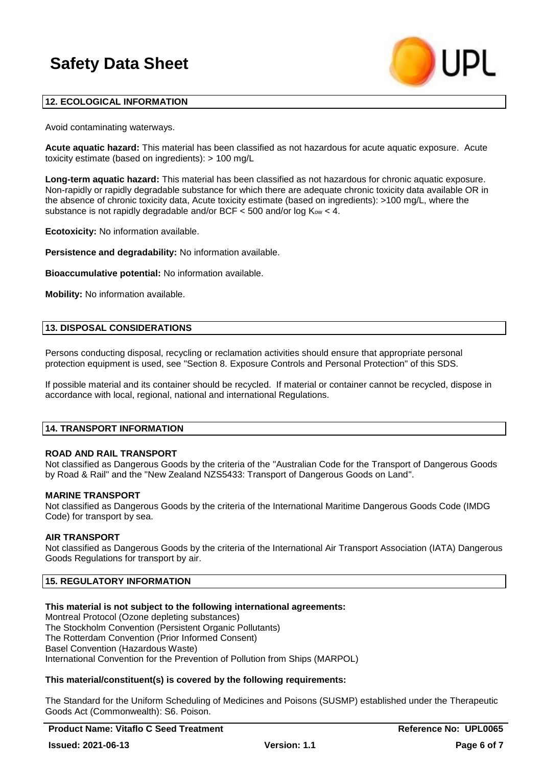

## **12. ECOLOGICAL INFORMATION**

Avoid contaminating waterways.

**Acute aquatic hazard:** This material has been classified as not hazardous for acute aquatic exposure. Acute toxicity estimate (based on ingredients): > 100 mg/L

**Long-term aquatic hazard:** This material has been classified as not hazardous for chronic aquatic exposure. Non-rapidly or rapidly degradable substance for which there are adequate chronic toxicity data available OR in the absence of chronic toxicity data, Acute toxicity estimate (based on ingredients): >100 mg/L, where the substance is not rapidly degradable and/or BCF  $<$  500 and/or log K<sub>ow</sub>  $<$  4.

**Ecotoxicity:** No information available.

**Persistence and degradability:** No information available.

**Bioaccumulative potential:** No information available.

**Mobility:** No information available.

### **13. DISPOSAL CONSIDERATIONS**

Persons conducting disposal, recycling or reclamation activities should ensure that appropriate personal protection equipment is used, see "Section 8. Exposure Controls and Personal Protection" of this SDS.

If possible material and its container should be recycled. If material or container cannot be recycled, dispose in accordance with local, regional, national and international Regulations.

#### **14. TRANSPORT INFORMATION**

#### **ROAD AND RAIL TRANSPORT**

Not classified as Dangerous Goods by the criteria of the "Australian Code for the Transport of Dangerous Goods by Road & Rail" and the "New Zealand NZS5433: Transport of Dangerous Goods on Land".

#### **MARINE TRANSPORT**

Not classified as Dangerous Goods by the criteria of the International Maritime Dangerous Goods Code (IMDG Code) for transport by sea.

#### **AIR TRANSPORT**

Not classified as Dangerous Goods by the criteria of the International Air Transport Association (IATA) Dangerous Goods Regulations for transport by air.

## **15. REGULATORY INFORMATION**

**This material is not subject to the following international agreements:** Montreal Protocol (Ozone depleting substances) The Stockholm Convention (Persistent Organic Pollutants) The Rotterdam Convention (Prior Informed Consent) Basel Convention (Hazardous Waste) International Convention for the Prevention of Pollution from Ships (MARPOL)

## **This material/constituent(s) is covered by the following requirements:**

The Standard for the Uniform Scheduling of Medicines and Poisons (SUSMP) established under the Therapeutic Goods Act (Commonwealth): S6. Poison.